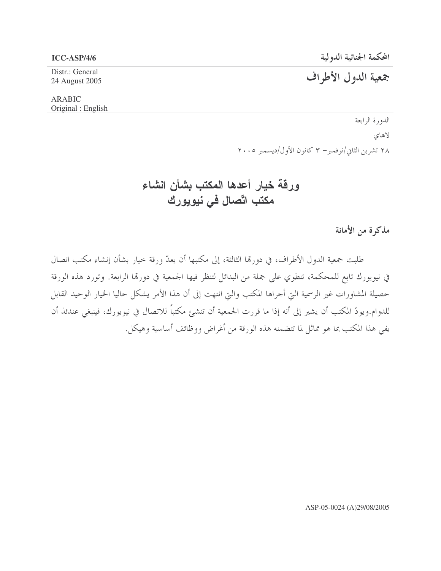Distr.: General 24 August 2005

## جمعية الدول الأطراف

#### ARABIC Original : English

الدورة الرابعة لاهاي ۲۸ تشرین الثاني/نوفمبر– ۳ کانون الأول/دیسمبر ۲۰۰۵

## ورقة خيار أعدها المكتب بشأن انشاء مكتب اتّصال في نيويورك

مذكرة من الأمانة

طلبت جمعية الدول الأطراف، في دورتما الثالثة، إلى مكتبها أن يعدّ ورقة حيار بشأن إنشاء مكتب اتصال في نيويورك تابع للمحكمة، تنطوي على جملة من البدائل لتنظر فيها الجمعية في دورتما الرابعة. وتورد هذه الورقة حصيلة المشاورات غير الرسمية التي أجراها المكتب والتي انتهت إلى أن هذا الأمر يشكل حاليا الخيار الوحيد القابل اللدوام.ويودّ المكتب أن يشير إلى أنه إذا ما قررت الجمعية أن تنشئ مكتبا للاتصال في نيويورك، فينبغي عندئذ أن يفي هذا المكتب بما هو مماثل لما تتضمنه هذه الورقة من أغراض ووظائف أساسية وهيكل.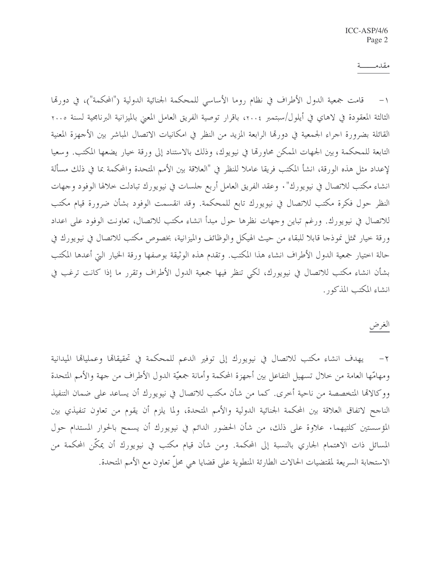#### مقدمــــــة

١– قامت جمعية الدول الأطراف في نظام روما الأساسي للمحكمة الجنائية الدولية ("المحكمة")، في دورمّا الثالثة المعقودة في لاهاي في أيلول/سبتمبر ٢٠٠٤، باقرار توصية الفريق العامل المعنى بالميزانية البرنامجية لسنة ٢٠٠٥ القائلة بضرورة اجراء الجمعية في دورها الرابعة المزيد من النظر في امكانيات الاتصال المباشر بين الأجهزة المعنية التابعة للمحكمة وبين الجهات الممكن محاورتما في نيويوك، وذلك بالاستناد إلى ورقة خيار يضعها المكتب. وسعيا لإعداد مثل هذه الورقة، انشأ المكتب فريقا عاملا للنظر في "العلاقة بين الأمم المتحدة والمحكمة بما في ذلك مسألة انشاء مكتب للاتصال في نيويورك" . وعقد الفريق العامل أربع جلسات في نيويورك تبادلت حلالها الوفود وجهات النظر حول فكرة مكتب للاتصال في نيويورك تابع للمحكمة. وقد انقسمت الوفود بشأن ضرورة قيام مكتب للاتصال في نيويورك. ورغم تباين وجهات نظرها حول مبدأ انشاء مكتب للاتصال، تعاونت الوفود على اعداد ورقة حيار تمثل نموذجا قابلا للبقاء من حيث الهيكل والوظائف والميزانية، بخصوص مكتب للاتصال في نيويورك في حالة اختيار جمعية الدول الأطراف انشاء هذا المكتب. وتقدم هذه الوثيقة بوصفها ورقة الخيار التي أعدها المكتب بشأن انشاء مكتب للاتصال في نيويورك، لكي تنظر فيها جمعية الدول الأطراف وتقرر ما إذا كانت ترغب في انشاء المكتب المذكور .

### الغرض

٢ – يهدف انشاء مكتب للاتصال في نيويورك إلى توفير الدعم للمحكمة في تحقيقاها وعملياها الميدانية ومهامّها العامة من حلال تسهيل التفاعل بين أجهزة المحكمة وأمانة جمعيّة الدول الأطراف من جهة والأمم المتحدة ووكالاقما المتخصصة من ناحية أخرى. كما من شأن مكتب للاتصال في نيويورك أن يساعد على ضمان التنفيذ الناجح لاتفاق العلاقة بين المحكمة الجنائية الدولية والأمم المتحدة، ولما يلزم أن يقوم من تعاون تنفيذي بين المؤسستين كلتيهما. علاوة على ذلك، من شأن الحضور الدائم في نيويورك أن يسمح بالحوار المستدام حول المسائل ذات الاهتمام الجاري بالنسبة إلى المحكمة. ومن شأن قيام مكتب في نيويورك أن يمكِّن المحكمة من الاستحابة السريعة لمقتضيات الحالات الطارئة المنطوية على قضايا هي محلٌّ تعاون مع الأمم المتحدة.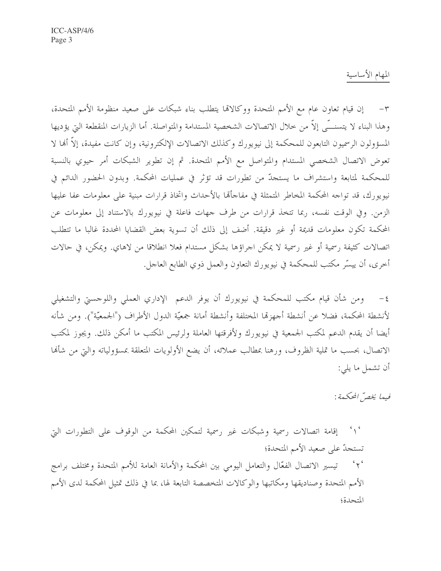المهام الأساسية

٣- إن قيام تعاون عام مع الأمم المتحدة ووكالاتما يتطلب بناء شبكات على صعيد منظومة الأمم المتحدة، وهذا البناء لا يتسنــّـي إلاّ من حلال الاتصالات الشخصية المستدامة والمتواصلة. أما الزيارات المنقطعة التي يؤديها المسؤولون الرسميون التابعون للمحكمة إلى نيويورك وكذلك الاتصالات الإلكترونية، وإن كانت مفيدة، إلاَّ أنها لا تعوض الاتصال الشخصي المستدام والمتواصل مع الأمم المتحدة. ثم إن تطوير الشبكات أمر حيوي بالنسبة للمحكمة لمتابعة واستشراف ما يستجدُّ من تطوِّرات قد تؤثَّر في عمليات المحكمة. وبدون الحضور الدائم في نيويورك، قد تواجه المحكمة المخاطر المتمثلة في مفاجأها بالأحداث واتخاذ قرارات مبنية على معلومات عفا عليها الزمن. وفي الوقت نفسه، ربما تتخذ قرارات من طرف جهات فاعلة في نيويورك بالاستناد إلى معلومات عن المحكمة تكون معلومات قديمة أو غير دقيقة. أضف إلى ذلك أن تسوية بعض القضايا المحددة غالبا ما تتطلب اتصالات كثيفة رسمية أو غير رسمية لا يمكن اجراؤها بشكل مستدام فعلا انطلاقا من لاهاي. ويمكن، في حالات أخرى، أن ييسِّر مكتب للمحكمة في نيويورك التعاون والعمل ذوي الطابع العاجل.

ومن شأن قيام مكتب للمحكمة في نيويورك أن يوفر الدعم الإداري العملي واللوحستي والتشغيلي  $-\xi$ لأنشطة المحكمة، فضلا عن أنشطة أجهزها المختلفة وأنشطة أمانة جمعيّة الدول الأطراف ("الجمعيّة"). ومن شأنه أيضا أن يقدم الدعم لمكتب الجمعية في نيويورك ولأفرقتها العاملة ولرئيس المكتب ما أمكن ذلك. ويجوز لمكتب الاتصال، بحسب ما تملية الظروف، ورهنا بمطالب عملائه، أن يضع الأولويات المتعلقة بمسؤولياته والتي من شألها أن تشمل ما يلي:

فيها يخصّ المحكمة:

إقامة اتصالات رسمية وشبكات غير رسمية لتمكين المحكمة من الوقوف على التطورات التي  $\sim$ تستجدّ على صعيد الأمم المتحدة؛ ٢٠ تيسير الاتصال الفعّال والتعامل اليومي بين المحكمة والأمانة العامة للأمم المتحدة ومختلف برامج الأمم المتحدة وصناديقها ومكاتبها والوكالات المتخصصة التابعة لها، بما في ذلك تمثيل المحكمة لدى الأمم المتحدة؛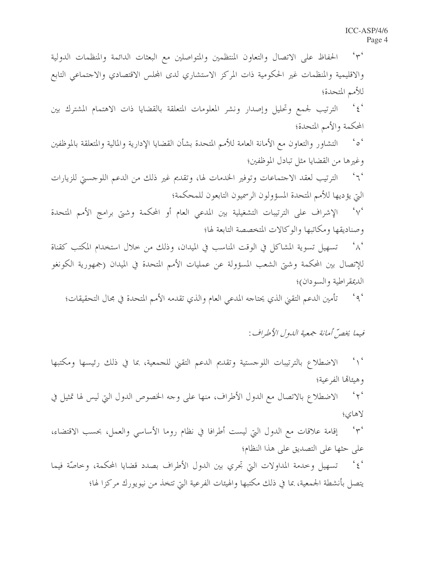$45$ الحفاظ على الاتصال والتعاون المنتظمين والمتواصلين مع البعثات الدائمة والمنظمات الدولية والاقليمية والمنظمات غير الحكومية ذات المركز الاستشاري لدى المحلس الاقتصادي والاجتماعي التابع للأمم المتحدة؛  $\epsilon$   $\epsilon$ الترتيب لجمع وتحليل وإصدار ونشر المعلومات المتعلقة بالقضايا ذات الاهتمام المشترك بين المحكمة والأمم المتحدة؛ التشاور والتعاون مع الأمانة العامة للأمم المتحدة بشأن القضايا الإدارية والمالية والمتعلقة بالموظفين  $\sim$   $\sim$ وغيرها من القضايا مثل تبادل الموظفين؛ الترتيب لعقد الاجتماعات وتوفير الخدمات لها، وتقديم غير ذلك من الدعم اللوحستي للزيارات  $\sim$ التي يؤديها للأمم المتحدة المسؤولون الرسميون التابعون للمحكمة؛ الإشراف على الترتيبات التشغيلية بين المدعى العام أو المحكمة وشتى برامج الأمم المتحدة  $\sim$ وصناديقها ومكاتبها والوكالات المتخصصة التابعة لها؛ تسهيل تسوية المشاكل في الوقت المناسب في الميدان، وذلك من خلال استخدام المكتب كقناة  $\Lambda$ للإتصال بين المحكمة وشتى الشعب المسؤولة عن عمليات الأمم المتحدة في الميدان (جمهورية الكونغو الديمقر اطبة والسودان)؛

'٩ ' تأمين الدعم التقيي الذي يحتاجه المدعى العام والذي تقدمه الأمم المتحدة في محال التحقيقات؛

فيها يخصُّ أمانة جمعية اللهول الأطراف:

 $\sim$ الاضطلاع بالترتيبات اللوجستية وتقديم الدعم التقيي للجمعية، بما في ذلك رئيسها ومكتبها وهيئاتها الفرعية؛  $\sim$ الاضطلاع بالاتصال مع الدول الأطراف، منها على وجه الخصوص الدول التي ليس لها تمثيل في لاهاى؛  $44.6$ إقامة علاقات مع الدول التي ليست أطرافا في نظام روما الأساسي والعمل، بحسب الاقتضاء، على حثها على التصديق على هذا النظام؛  $\epsilon$   $\epsilon$ تسهيل وحدمة المداولات التي تحري بين الدول الأطراف بصدد قضايا المحكمة، وحاصَّة فيما يتصل بأنشطة الجمعية، بما في ذلك مكتبها والهيئات الفرعية التي تتخذ من نيويورك مركزا لها؛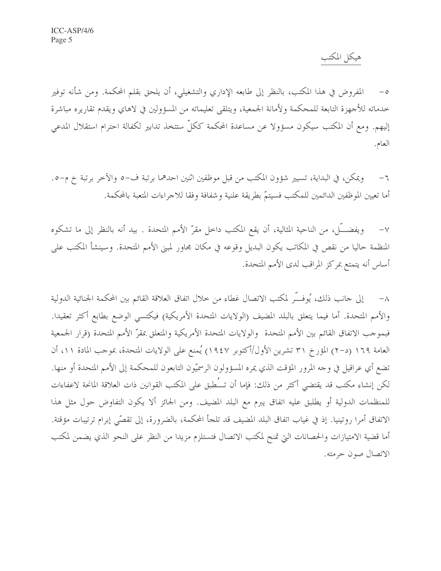هيكل المكتب

المفروض في هذا المكتب، بالنظر إلى طابعه الإداري والتشغيلي، أن يلحق بقلم المحكمة. ومن شأنه توفير خدماته للأجهزة التابعة للمحكمة ولأمانة الجمعية، ويتلقى تعليماته من المسؤولين في لاهاي ويقدم تقاريره مباشرة إليهم. ومع أن المكتب سيكون مسؤولا عن مساعدة المحكمة ككلِّ ستتخذ تدابير لكفالة احترام استقلال المدعى العام.

ويمكن، في البداية، تسيير شؤون المكتب من قبل موظفين اثنين احدهما برتبة ف–٥ والآخر برتبة خ م–٥.  $-7$ أما تعيين الموظفين الدائمين للمكتب فسيتمّ بطريقة علنية وشفافة وفقا للاجراءات المتعبة بالمحكمة.

ويفضــّـل، من الناحية المثالية، أن يقع المكتب داخل مقرّ الأمم المتحدة . بيد أنه بالنظر إلى ما تشكوه  $-\gamma$ المنظمة حاليا من نقص في المكاتب يكون البديل وقوعه في مكان مجاور لمبنى الأمم المتحدة. وسينشأ المكتب على أساس أنه يتمتع بمركز المراقب لدى الأمم المتحدة.

إلى حانب ذلك، يُوفَّس لمكتب الاتصال غطاء من حلال اتفاق العلاقة القائم بين المحكمة الجنائية الدولية  $-\lambda$ والأمم المتحدة. أما فيما يتعلق بالبلد المضيف (الولايات المتحدة الأمريكية) فيكتسى الوضع بطابع أكثر تعقيدا. فبموجب الاتفاق القائم بين الأمم المتحدة والولايات المتحدة الأمريكية والمتعلق بمقرّ الأمم المتحدة (قرار الجمعية العامة ١٦٩ (د–٢) المؤرخ ٣١ تشرين الأول/أكتوبر ١٩٤٧) يُمنع على الولايات المتحدة، بموجب المادة ١١، أن تضع أي عراقيل في وجه المرور المؤقت الذي يمره المسؤولون الرسميّون التابعون للمحكمة إلى الأمم المتحدة أو منها. لكن إنشاء مكتب قد يقتضى أكثر من ذلك: فإما أن تــُطبق على المكتب القوانين ذات العلاقة المانحة لاعفاءات للمنظمات الدولية أو يطلبق عليه اتفاق يبرم مع البلد المضيف. ومن الجائز ألا يكون التفاوض حول مثل هذا الاتفاق أمرا روتينيا. إذ في غياب اتفاق البلد المضيف قد تلجأ المحكمة، بالضرورة، إلى تقصَّى إبرام ترتيبات مؤقتة. أما قضية الامتيازات والحصانات التي تمنح لمكتب الاتصال فتستلزم مزيدا من النظر على النحو الذي يضمن لمكتب الاتصال صون حرمته.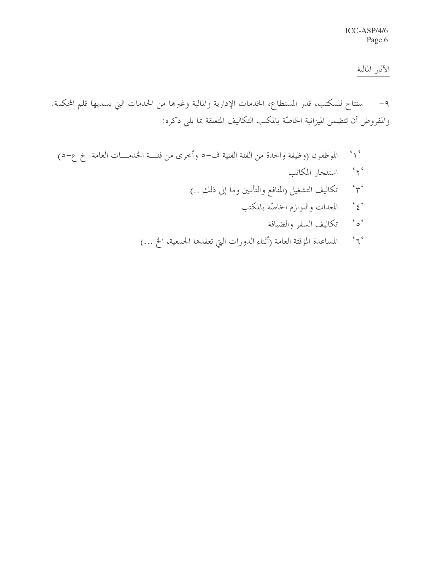### الآثار المالية

ستتاح للمكتب، قدر المستطاع، الخدمات الإدارية والمالية وغيرها من الخدمات التي يسديها قلم المحكمة.  $-9$ والمفروض أن تتضمن الميزانية الخاصّة بالمكتب التكاليف المتعلقة بما يلي ذكره:

- الموظفون (وظيفة واحدة من الفئة الفنية ف-٥ وأحرى من فئــة الخدمـــات العامة خ ع-٥)  $\sim$  $45$ استئجار المكاتب تكاليف التشغيل (المنافع والتأمين وما إلى ذلك ..)  $4\pi$  $\frac{c}{2}$ المعدات واللوازم الخاصّة بالمكتب  $\frac{1}{2}$ تكاليف السفر والضيافة
	- $\epsilon$   $\sim$ المساعدة المؤقتة العامة (أثناء الدورات التي تعقدها الجمعية، الخ …)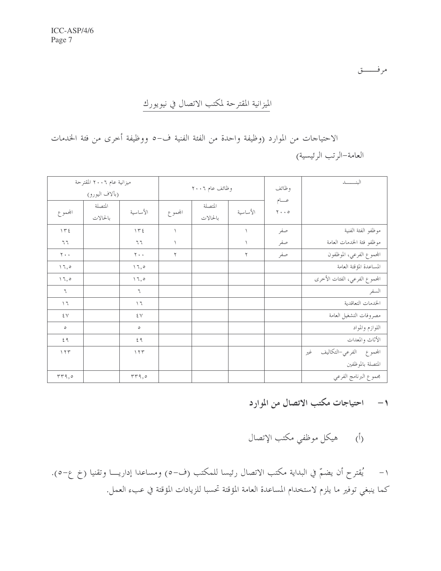مرفــــــق

# الميزانية المقترحة لمكتب الاتصال في نيويورك

الاحتياجات من الموارد (وظيفة واحدة من الفئة الفنية ف-٥ ووظيفة أخرى من فئة الخدمات العامة-الرتب الرئيسية)

| ميزانية عام ٢٠٠٦ المقترحة<br>(بألاف اليورو) |                     |                              | وظائف عام ٢٠٠٦               |                     |           | وظائف                                       | الىنــــــــد                  |
|---------------------------------------------|---------------------|------------------------------|------------------------------|---------------------|-----------|---------------------------------------------|--------------------------------|
| المجموع                                     | المتصلة<br>بالحالات | الأساسية                     | المحموع                      | المتصلة<br>بالحالات | الأساسية  | عسام<br>$\mathbf{y} \cdot \cdot \mathbf{z}$ |                                |
| $\Upsilon$                                  |                     | 172                          | $\left\langle \right\rangle$ |                     | $\lambda$ | صفر                                         | موظفو الفئة الفنية             |
| $7\,7$                                      |                     | $7\,7$                       | $\lambda$                    |                     | $\lambda$ | صفر                                         | موظفو فئة الخدمات العامة       |
| $\mathbf{Y}$ .<br>.                         |                     | $\mathbf{y}$ .               | ٢                            |                     | ٢         | صفر                                         | المحموع الفرعي، الموظفون       |
| $\setminus \mathcal{I}, \circ$              |                     | 17,0                         |                              |                     |           |                                             | المساعدة المؤقتة العامة        |
| $\setminus \mathcal{I}, \circ$              |                     | 17,0                         |                              |                     |           |                                             | المحموع الفرعي، الفئات الأخرى  |
| ٦                                           |                     | ٦                            |                              |                     |           |                                             | السفر                          |
| $\mathcal{N}$                               |                     | $\boldsymbol{\mathcal{F}}$ ( |                              |                     |           |                                             | الخدمات التعاقدية              |
| ٤٧                                          |                     | ٤٧                           |                              |                     |           |                                             | مصروفات التشغيل العامة         |
| ٥                                           |                     | $\circ$                      |                              |                     |           |                                             | اللوازم والمواد                |
| 29                                          |                     | 59                           |                              |                     |           |                                             | الأثاث والمعدات                |
| 155                                         |                     | 155                          |                              |                     |           |                                             | المحموع الفرعي–التكاليف<br>غير |
|                                             |                     |                              |                              |                     |           |                                             | المتصلة بالموظفين              |
| rr9,0                                       |                     | rr9,0                        |                              |                     |           |                                             | مجموع البرنامج الفرعي          |

١- احتياجات مكتب الاتصال من الموارد

(أ) هيكل موظفي مكتب الإتصال

١– يُقترح أن يضمّ في البداية مكتب الاتصال رئيسا للمكتب (ف–٥) ومساعدا إداريـــا وتقنيا (خ ع–٥). كما ينبغي توفير ما يلزم لاستخدام المساعدة العامة المؤقتة تحسبا للزيادات المؤقتة في عبء العمل.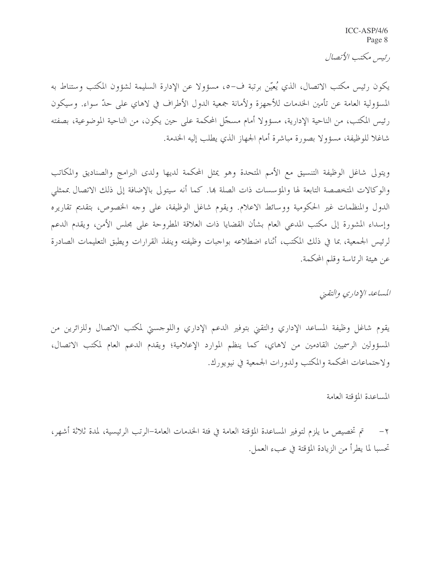ICC-ASP/4/6 Page 8

رئيس مكتب الأتصال

يكون رئيس مكتب الاتصال، الذي يُعيّن برتبة ف–٥، مسؤولا عن الإدارة السليمة لشؤون المكتب وستناط به المسؤولية العامة عن تأمين الخدمات للأجهزة ولأمانة جمعية الدول الأطراف في لاهاي على حدّ سواء. وسيكون رئيس المكتب، من الناحية الإدارية، مسؤولا أمام مسجّل المحكمة على حين يكون، من الناحية الموضوعية، بصفته شاغلا للوظيفة، مسؤولا بصورة مباشرة أمام الجهاز الذي يطلب إليه الخدمة.

ويتولى شاغل الوظيفة التنسيق مع الأمم المتحدة وهو يمثل المحكمة لديها ولدى البرامج والصناديق والمكاتب والوكالات المتخصصة التابعة لها والمؤسسات ذات الصلة بما. كما أنه سيتولى بالإضافة إلى ذلك الاتصال بممثلي الدول والمنظمات غير الحكومية ووسائط الاعلام. ويقوم شاغل الوظيفة، على وجه الخصوص، بتقديم تقاريره وإسداء المشورة إلى مكتب المدعى العام بشأن القضايا ذات العلاقة المطروحة على مجلس الأمن، ويقدم الدعم لرئيس الجمعية، بما في ذلك المكتب، أثناء اضطلاعه بواجبات وظيفته وينفذ القرارات ويطبق التعليمات الصادرة عن هيئة الرئاسة وقلم المحكمة.

المساعد الإداري والتقبي

يقوم شاغل وظيفة المساعد الإداري والتقني بتوفير الدعم الإداري واللوحستي لمكتب الاتصال وللزائرين من المسؤولين الرسميين القادمين من لاهاي، كما ينظم الموارد الإعلامية؛ ويقدم الدعم العام لمكتب الاتصال، ولاجتماعات المحكمة والمكتب ولدورات الجمعية في نيويورك.

المساعدة المؤقتة العامة

٢ – `` تم تخصيص ما يلزم لتوفير المساعدة المؤقتة العامة في فئة الحدمات العامة–الرتب الرئيسية، لمدة ثلاثة أشهر، تحسبا لما يطرأ من الزيادة المؤقتة في عبء العمل.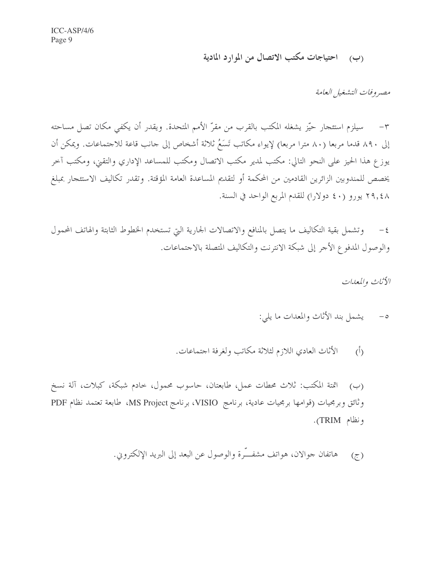(ب) احتياجات مكتب الاتصال من الموارد المادية

مصيروفات التشغيل العامة

٣– سيلزم استئجار حيّز يشغله المكتب بالقرب من مقرّ الأمم المتحدة. ويقدر أن يكفي مكان تصل مساحته إلى ٨٩٠ قدما مربعا (٨٠ مترا مربعا) لإيواء مكاتب تَسَعُ ثلاثة أشخاص إلى حانب قاعة للاجتماعات. ويمكن أن يوزع هذا الحيز على النحو التالي: مكتب لمدير مكتب الاتصال ومكتب للمساعد الإداري والتقني، ومكتب آخر يخصص للمندوبين الزائرين القادمين من المحكمة أو لتقديم المساعدة العامة المؤقتة. وتقدر تكاليف الاستئجار بمبلغ ٢٩,٤٨ يورو (٤٠ دولارا) للقدم المربع الواحد في السنة.

٤– وتشمل بقية التكاليف ما يتصل بالمنافع والاتصالات الجارية التي تستخدم الخطوط الثابتة والهاتف المحمول والوصول المدفوع الأجر إلى شبكة الانترنت والتكاليف المتصلة بالاجتماعات.

الأثاث والمعدات

- ٥- يشمل بند الأثاث والمعدات ما يلي:
- الأثاث العادي اللازم لثلاثة مكاتب ولغرفة اجتماعات.  $(\overline{()})$

(ب) أئتة المكتب: ثلاث محطات عمل، طابعتان، حاسوب محمول، خادم شبكة، كبلات، آلة نسخ وثائق وبرمجيات (قوامها برمجيات عادية، برنامج VISIO، برنامج MS Project، طابعة تعتمد نظام PDF ونظام TRIM).

> هاتفان جوالان، هواتف مشفَّـرة والوصول عن البعد إلى البريد الإلكتروين.  $(\tau)$